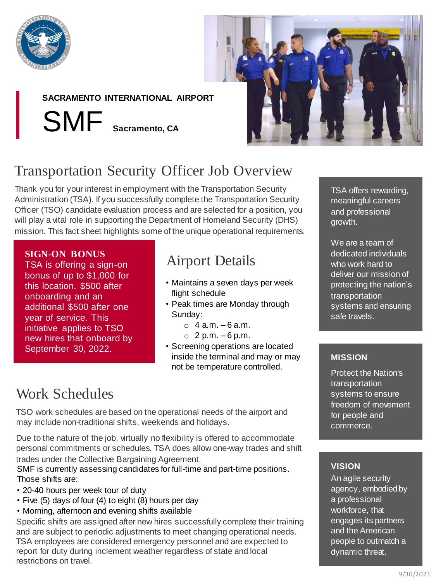

## **SACRAMENTO INTERNATIONAL AIRPORT**

SMF **Sacramento, CA**



# Transportation Security Officer Job Overview

Thank you for your interest in employment with the Transportation Security Administration (TSA). If you successfully complete the Transportation Security Officer (TSO) candidate evaluation process and are selected for a position, you will play a vital role in supporting the Department of Homeland Security (DHS) mission. This fact sheet highlights some of the unique operational requirements.

### **SIGN-ON BONUS**

TSA is offering a sign-on bonus of up to \$1,000 for this location. \$500 after onboarding and an additional \$500 after one year of service. This initiative applies to TSO new hires that onboard by September 30, 2022.

## Airport Details

- Maintains a seven days per week flight schedule
- Peak times are Monday through Sunday:
	- $\circ$  4 a.m. 6 a.m.
	- $O$  2 p.m. 6 p.m.
- Screening operations are located inside the terminal and may or may not be temperature controlled.

## Work Schedules

TSO work schedules are based on the operational needs of the airport and may include non-traditional shifts, weekends and holidays.

Due to the nature of the job, virtually no flexibility is offered to accommodate personal commitments or schedules. TSA does allow one-way trades and shift trades under the Collective Bargaining Agreement.

SMF is currently assessing candidates for full-time and part-time positions. Those shifts are:

- 20-40 hours per week tour of duty
- Five (5) days of four (4) to eight (8) hours per day
- Morning, afternoon and evening shifts available

Specific shifts are assigned after new hires successfully complete their training and are subject to periodic adjustments to meet changing operational needs. TSA employees are considered emergency personnel and are expected to report for duty during inclement weather regardless of state and local restrictions on travel.

TSA offers rewarding, meaningful careers and professional growth.

We are a team of dedicated individuals who work hard to deliver our mission of protecting the nation's transportation systems and ensuring safe travels.

### **MISSION**

Protect the Nation's transportation systems to ensure freedom of movement for people and commerce.

### **VISION**

An agile security agency, embodied by a professional workforce, that engages its partners and the American people to outmatch a dynamic threat.